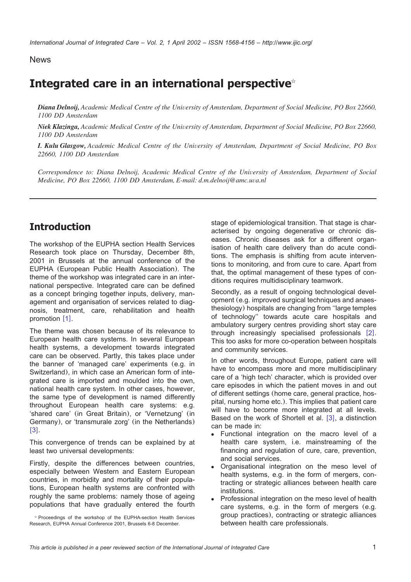News

# **Integrated care in an international perspective**

*Diana Delnoij, Academic Medical Centre of the University of Amsterdam, Department of Social Medicine, PO Box 22660, 1100 DD Amsterdam*

*Niek Klazinga, Academic Medical Centre of the University of Amsterdam, Department of Social Medicine, PO Box 22660, 1100 DD Amsterdam*

*I. Kulu Glasgow, Academic Medical Centre of the University of Amsterdam, Department of Social Medicine, PO Box 22660, 1100 DD Amsterdam*

*Correspondence to: Diana Delnoij, Academic Medical Centre of the University of Amsterdam, Department of Social Medicine, PO Box 22660, 1100 DD Amsterdam, E-mail: d.m.delnoij@amc.uva.nl*

# **Introduction**

The workshop of the EUPHA section Health Services Research took place on Thursday, December 8th, 2001 in Brussels at the annual conference of the EUPHA (European Public Health Association). The theme of the workshop was integrated care in an international perspective. Integrated care can be defined as a concept bringing together inputs, delivery, management and organisation of services related to diagnosis, treatment, care, rehabilitation and health promotion  $[1]$  $[1]$  $[1]$ .

The theme was chosen because of its relevance to European health care systems. In several European health systems, a development towards integrated care can be observed. Partly, this takes place under the banner of 'managed care' experiments (e.g. in Switzerland), in which case an American form of integrated care is imported and moulded into the own, national health care system. In other cases, however, the same type of development is named differently throughout European health care systems: e.g. 'shared care' (in Great Britain), or 'Vernetzung' (in Germany), or 'transmurale zorg' (in the Netherlands)  $[3]$  $[3]$  $[3]$ .

This convergence of trends can be explained by at least two universal developments:

Firstly, despite the differences between countries, especially between Western and Eastern European countries, in morbidity and mortality of their populations, European health systems are confronted with roughly the same problems: namely those of ageing populations that have gradually entered the fourth

 $*$  Proceedings of the workshop of the EUPHA-section Health Services Research, EUPHA Annual Conference 2001, Brussels 6-8 December.

stage of epidemiological transition. That stage is characterised by ongoing degenerative or chronic diseases. Chronic diseases ask for a different organisation of health care delivery than do acute conditions. The emphasis is shifting from acute interventions to monitoring, and from cure to care. Apart from that, the optimal management of these types of conditions requires multidisciplinary teamwork.

Secondly, as a result of ongoing technological development (e.g. improved surgical techniques and anaesthesiology) hospitals are changing from ''large temples of technology'' towards acute care hospitals and ambulatory surgery centres providing short stay care through increasingly specialised professionals  $[2]$  $[2]$  $[2]$ . This too asks for more co-operation between hospitals and community services.

In other words, throughout Europe, patient care will have to encompass more and more multidisciplinary care of a 'high tech' character, which is provided over care episodes in which the patient moves in and out of different settings (home care, general practice, hospital, nursing home etc.). This implies that patient care will have to become more integrated at all levels. Based on the work of Shortell et al. [[3](#page-3-0)], a distinction can be made in:

- Functional integration on the macro level of a health care system, i.e. mainstreaming of the financing and regulation of cure, care, prevention, and social services.
- Organisational integration on the meso level of health systems, e.g. in the form of mergers, contracting or strategic alliances between health care institutions.
- Professional integration on the meso level of health care systems, e.g. in the form of mergers (e.g. group practices), contracting or strategic alliances between health care professionals.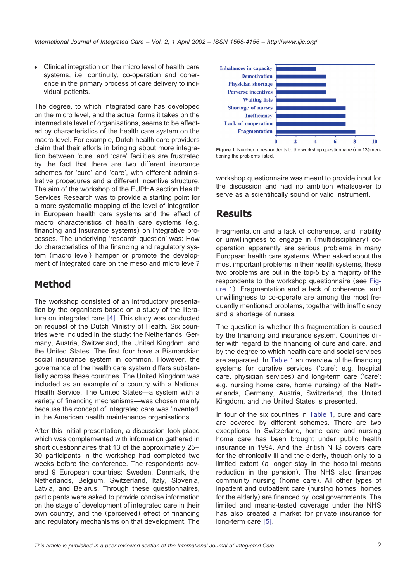• Clinical integration on the micro level of health care systems, i.e. continuity, co-operation and coherence in the primary process of care delivery to individual patients.

The degree, to which integrated care has developed on the micro level, and the actual forms it takes on the intermediate level of organisations, seems to be affected by characteristics of the health care system on the macro level. For example, Dutch health care providers claim that their efforts in bringing about more integration between 'cure' and 'care' facilities are frustrated by the fact that there are two different insurance schemes for 'cure' and 'care', with different administrative procedures and a different incentive structure. The aim of the workshop of the EUPHA section Health Services Research was to provide a starting point for a more systematic mapping of the level of integration in European health care systems and the effect of macro characteristics of health care systems (e.g. financing and insurance systems) on integrative processes. The underlying 'research question' was: How do characteristics of the financing and regulatory system (macro level) hamper or promote the development of integrated care on the meso and micro level?

# **Method**

The workshop consisted of an introductory presentation by the organisers based on a study of the literature on integrated care  $[4]$  $[4]$  $[4]$ . This study was conducted on request of the Dutch Ministry of Health. Six countries were included in the study: the Netherlands, Germany, Austria, Switzerland, the United Kingdom, and the United States. The first four have a Bismarckian social insurance system in common. However, the governance of the health care system differs substantially across these countries. The United Kingdom was included as an example of a country with a National Health Service. The United States—a system with a variety of financing mechanisms—was chosen mainly because the concept of integrated care was 'invented' in the American health maintenance organisations.

After this initial presentation, a discussion took place which was complemented with information gathered in short questionnaires that 13 of the approximately 25– 30 participants in the workshop had completed two weeks before the conference. The respondents covered 9 European countries: Sweden, Denmark, the Netherlands, Belgium, Switzerland, Italy, Slovenia, Latvia, and Belarus. Through these questionnaires, participants were asked to provide concise information on the stage of development of integrated care in their own country, and the (perceived) effect of financing and regulatory mechanisms on that development. The



**Figure 1.** Number of respondents to the workshop questionnaire  $(n=13)$  mentioning the problems listed.

workshop questionnaire was meant to provide input for the discussion and had no ambition whatsoever to serve as a scientifically sound or valid instrument.

### **Results**

Fragmentation and a lack of coherence, and inability or unwillingness to engage in (multidisciplinary) cooperation apparently are serious problems in many European health care systems. When asked about the most important problems in their health systems, these two problems are put in the top-5 by a majority of the respondents to the workshop questionnaire (see Figure 1). Fragmentation and a lack of coherence, and unwillingness to co-operate are among the most frequently mentioned problems, together with inefficiency and a shortage of nurses.

The question is whether this fragmentation is caused by the financing and insurance system. Countries differ with regard to the financing of cure and care, and by the degree to which health care and social services are separated. In [Table 1](#page-2-0) an overview of the financing systems for curative services ('cure': e.g. hospital care, physician services) and long-term care ('care': e.g. nursing home care, home nursing) of the Netherlands, Germany, Austria, Switzerland, the United Kingdom, and the United States is presented.

In four of the six countries in [Table 1,](#page-2-0) cure and care are covered by different schemes. There are two exceptions. In Switzerland, home care and nursing home care has been brought under public health insurance in 1994. And the British NHS covers care for the chronically ill and the elderly, though only to a limited extent (a longer stay in the hospital means reduction in the pension). The NHS also finances community nursing (home care). All other types of inpatient and outpatient care (nursing homes, homes for the elderly) are financed by local governments. The limited and means-tested coverage under the NHS has also created a market for private insurance for long-term care  $[5]$  $[5]$  $[5]$ .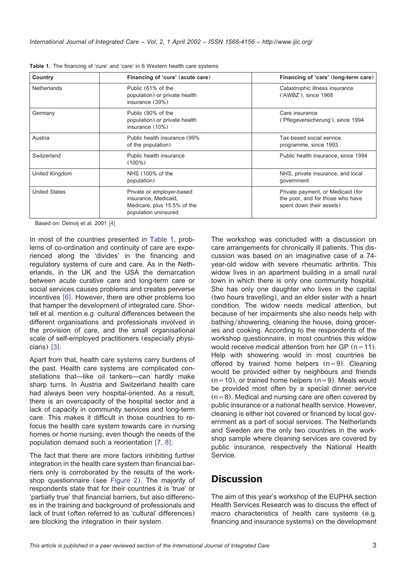| Country              | Financing of 'cure' (acute care)                                                                         | Financing of 'care' (long-term care)                                                              |
|----------------------|----------------------------------------------------------------------------------------------------------|---------------------------------------------------------------------------------------------------|
| <b>Netherlands</b>   | Public (61% of the<br>population) or private health<br>insurance (39%)                                   | Catastrophic illness insurance<br>('AWBZ'), since 1968                                            |
| Germany              | Public (90% of the<br>population) or private health<br>insurance $(10\%)$                                | Care insurance<br>('Pflegeversicherung'), since 1994                                              |
| Austria              | Public health insurance (99%)<br>of the population)                                                      | Tax-based social service<br>programme, since 1993                                                 |
| Switzerland          | Public health insurance<br>$(100\%)$                                                                     | Public health insurance, since 1994                                                               |
| United Kingdom       | NHS (100% of the<br>population)                                                                          | NHS, private insurance, and local<br>government                                                   |
| <b>United States</b> | Private or employer-based<br>insurance, Medicaid,<br>Medicare, plus 15.5% of the<br>population uninsured | Private payment, or Medicaid (for<br>the poor, and for those who have<br>spent down their assets) |

<span id="page-2-0"></span>**Table 1.** The financing of 'cure' and 'care' in 6 Western health care systems

Based on: Delnoij et al. 2001 [[4](#page-3-0)]

In most of the countries presented in Table 1, problems of co-ordination and continuity of care are experienced along the 'divides' in the financing and regulatory systems of cure and care. As in the Netherlands, in the UK and the USA the demarcation between acute curative care and long-term care or social services causes problems and creates perverse incentives [[6](#page-3-0)]. However, there are other problems too that hamper the development of integrated care. Shortell et al. mention e.g. cultural differences between the different organisations and professionals involved in the provision of care, and the small organisational scale of self-employed practitioners (especially physi $cians)$  [[3](#page-3-0)].

Apart from that, health care systems carry burdens of the past. Health care systems are complicated constellations that—like oil tankers—can hardly make sharp turns. In Austria and Switzerland health care had always been very hospital-oriented. As a result, there is an overcapacity of the hospital sector and a lack of capacity in community services and long-term care. This makes it difficult in those countries to refocus the health care system towards care in nursing homes or home nursing, even though the needs of the population demand such a reorientation  $[7, 8]$  $[7, 8]$  $[7, 8]$ .

The fact that there are more factors inhibiting further integration in the health care system than financial barriers only is corroborated by the results of the workshop questionnaire (see [Figure 2](#page-3-0)). The majority of respondents state that for their countries it is 'true' or 'partially true' that financial barriers, but also differences in the training and background of professionals and lack of trust (often referred to as 'cultural' differences) are blocking the integration in their system.

The workshop was concluded with a discussion on care arrangements for chronically ill patients. This discussion was based on an imaginative case of a 74 year-old widow with severe rheumatic arthritis. This widow lives in an apartment building in a small rural town in which there is only one community hospital. She has only one daughter who lives in the capital (two hours travelling), and an elder sister with a heart condition. The widow needs medical attention, but because of her impairments she also needs help with bathing/showering, cleaning the house, doing groceries and cooking. According to the respondents of the workshop questionnaire, in most countries this widow would receive medical attention from her GP  $(n=11)$ . Help with showering would in most countries be offered by trained home helpers  $(n=9)$ . Cleaning would be provided either by neighbours and friends  $(n=10)$ , or trained home helpers  $(n=9)$ . Meals would be provided most often by a special dinner service  $(n=8)$ . Medical and nursing care are often covered by public insurance or a national health service. However, cleaning is either not covered or financed by local government as a part of social services. The Netherlands and Sweden are the only two countries in the workshop sample where cleaning services are covered by public insurance, respectively the National Health Service.

# **Discussion**

The aim of this year's workshop of the EUPHA section Health Services Research was to discuss the effect of macro characteristics of health care systems (e.g. financing and insurance systems) on the development